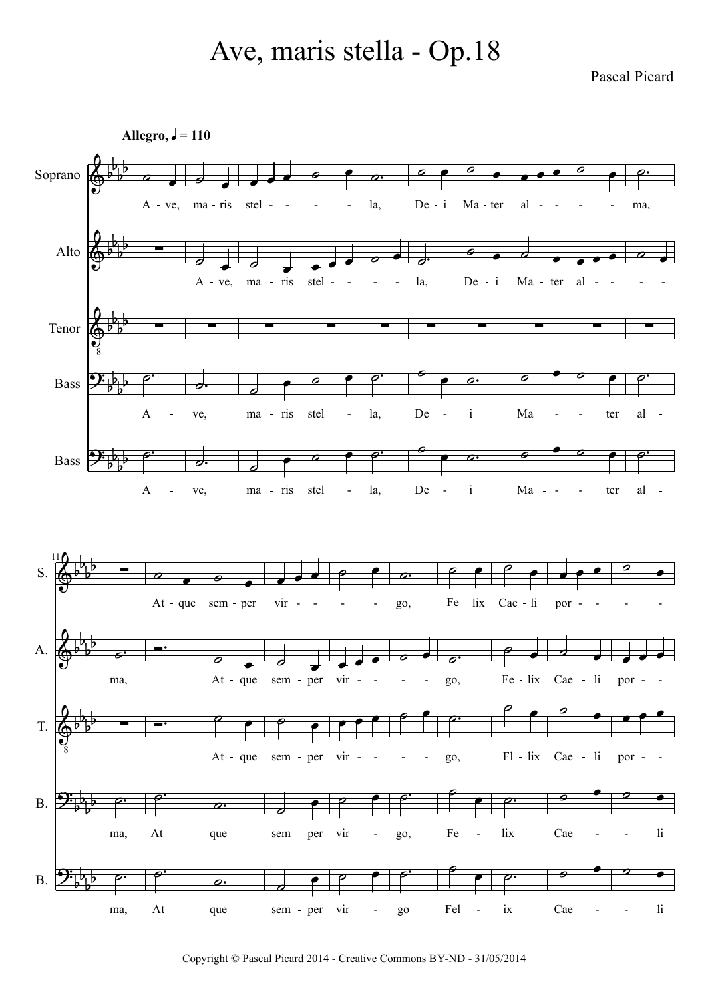## Ave, maris stella - Op.18

Pascal Picard

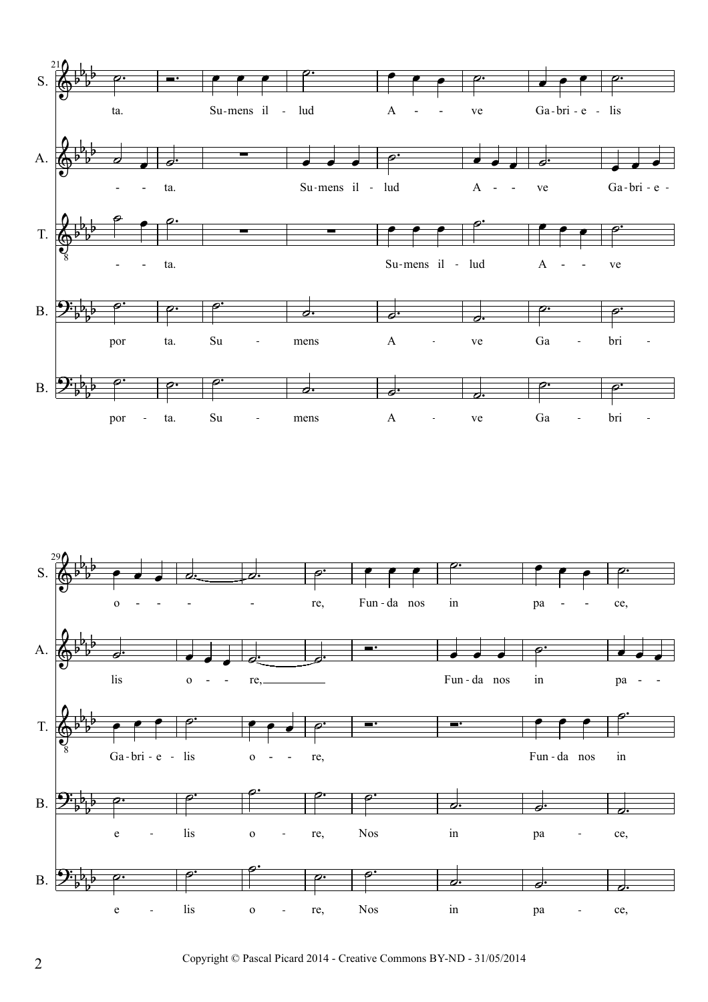



Copyright © Pascal Picard 2014 - Creative Commons BY-ND - 31/05/2014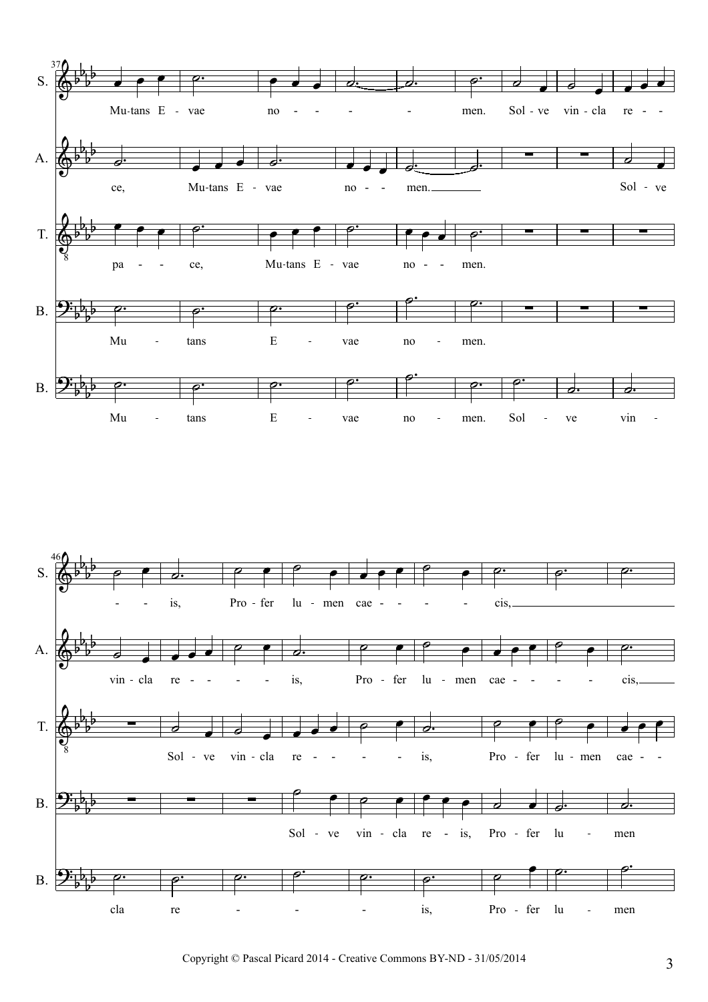



Copyright © Pascal Picard 2014 - Creative Commons BY-ND - 31/05/2014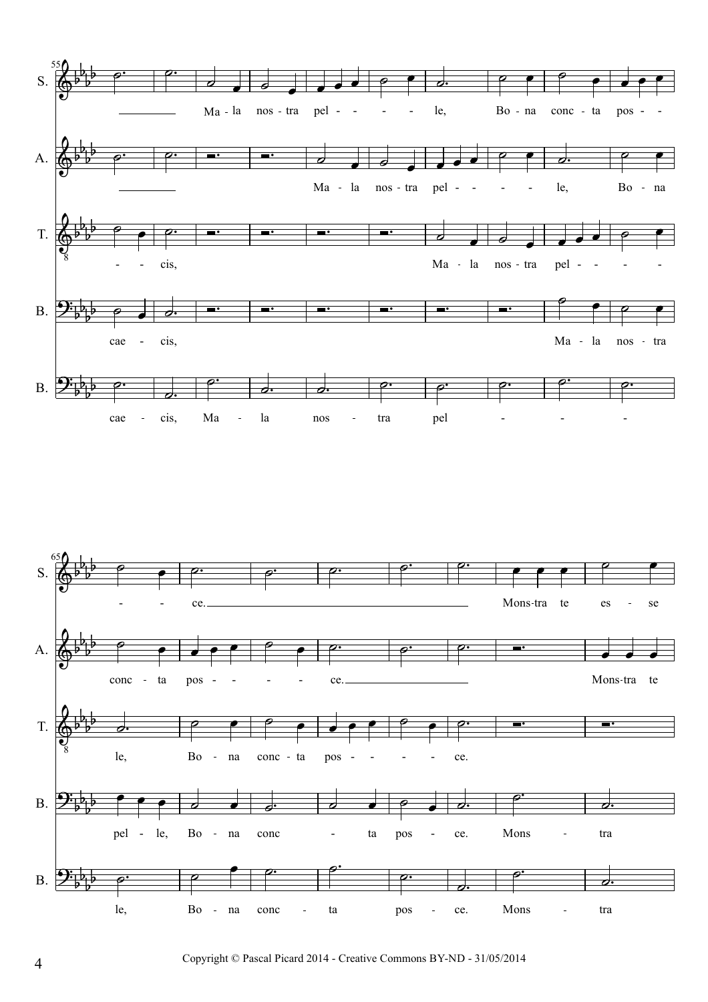

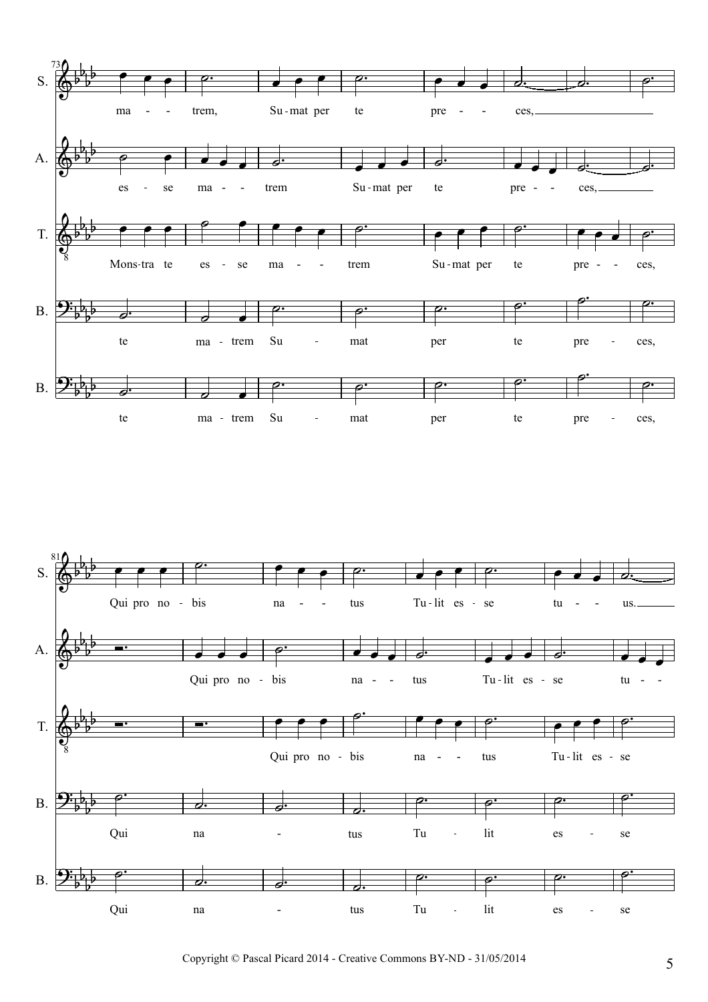

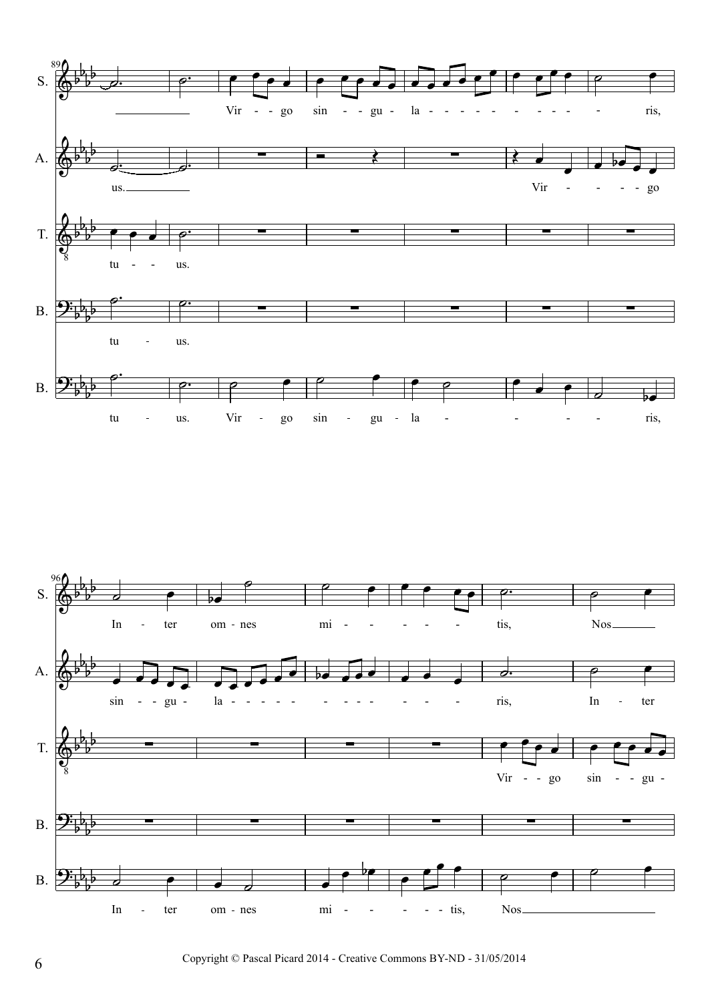

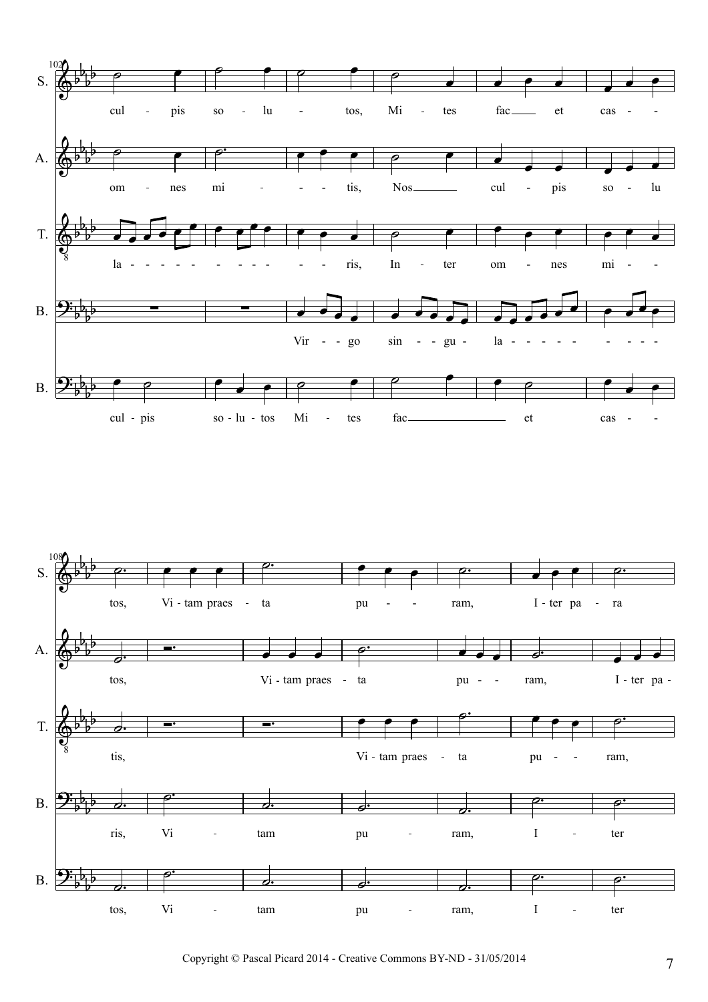

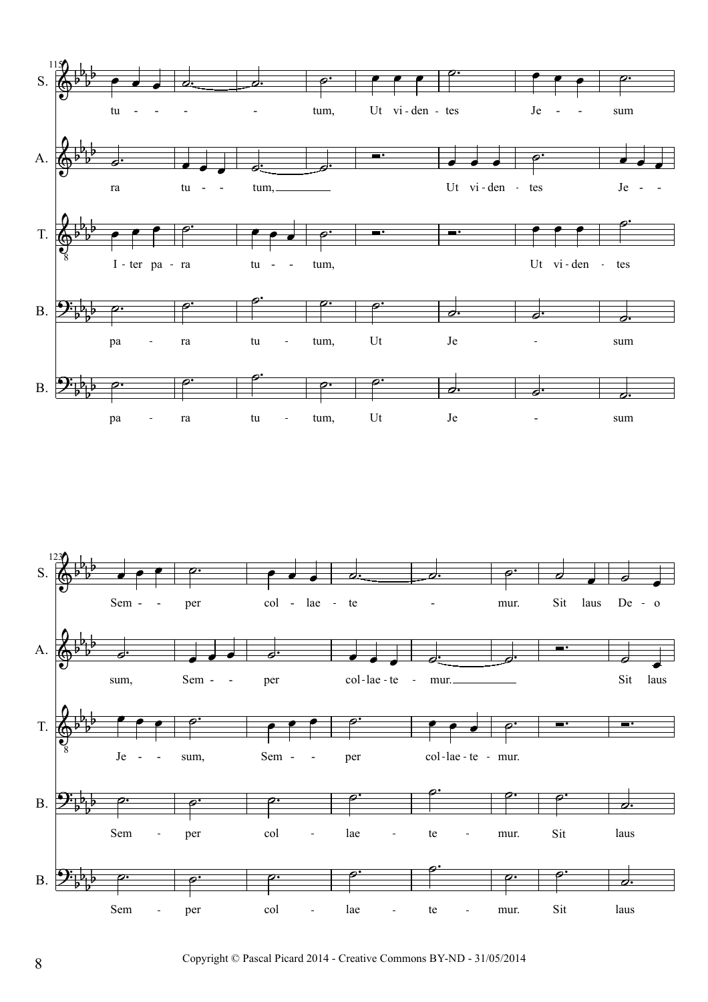

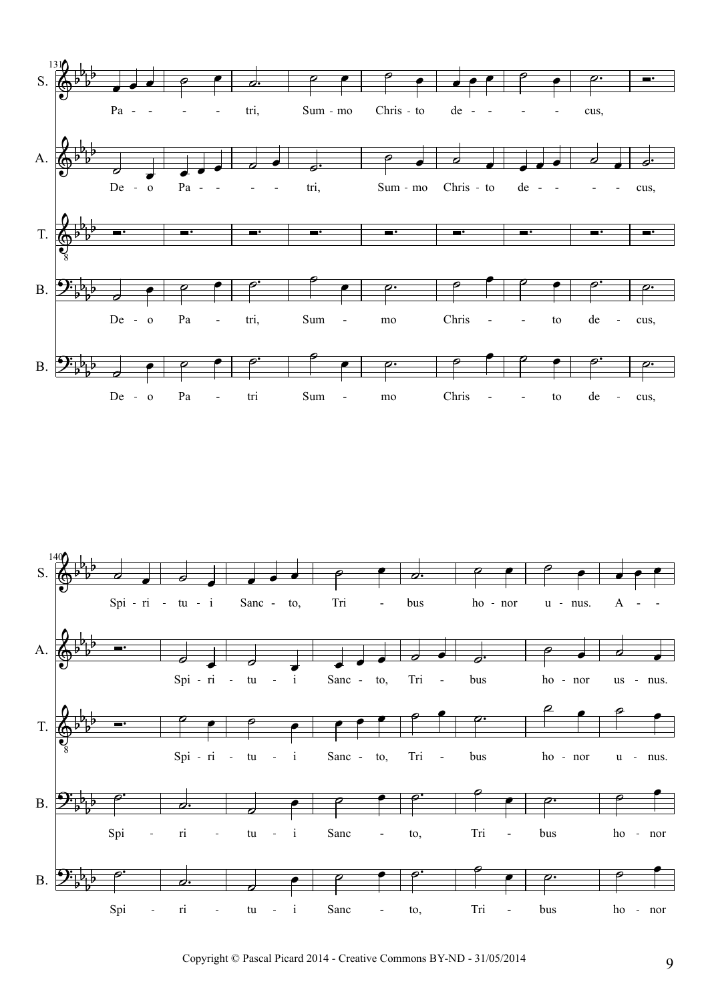

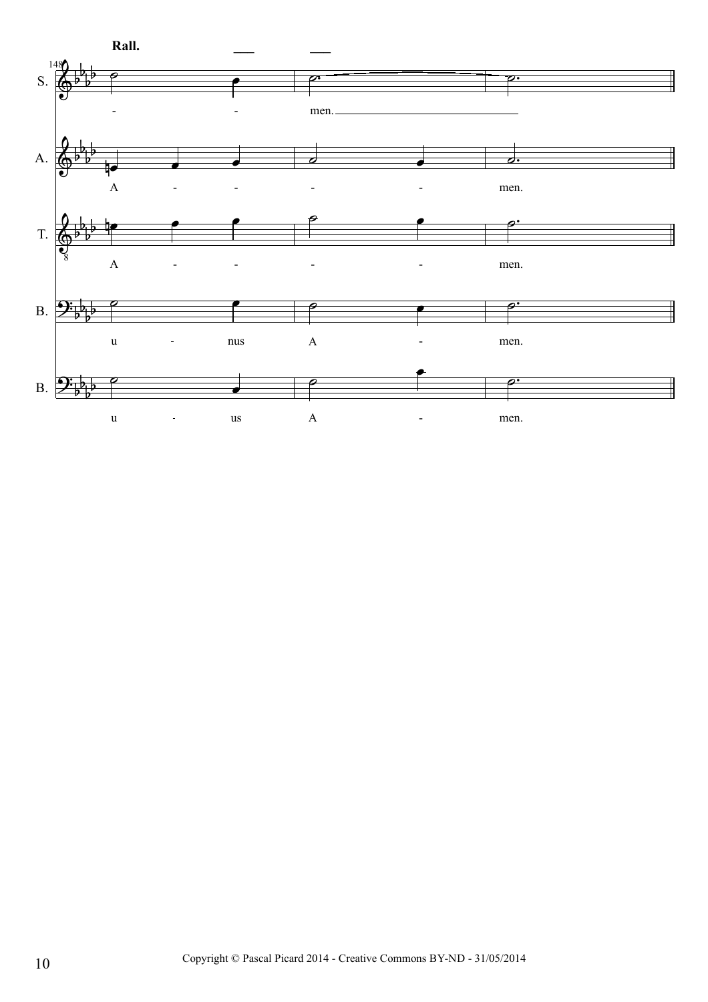